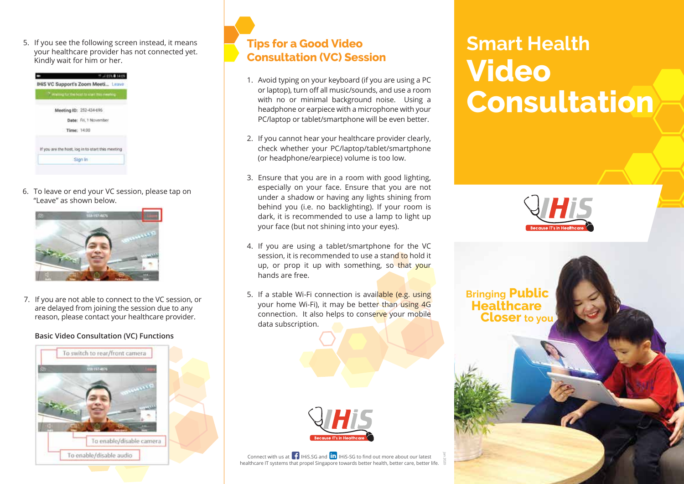5. If you see the following screen instead, it means your healthcare provider has not connected yet. Kindly wait for him or her.



6. To leave or end your VC session, please tap on "Leave" as shown below.



7. If you are not able to connect to the VC session, or are delayed from joining the session due to any reason, please contact your healthcare provider.

## **Basic Video Consultation (VC) Functions**





- 1. Avoid typing on your keyboard (if you are using a PC or laptop), turn off all music/sounds, and use a room with no or minimal background noise. Using a headphone or earpiece with a microphone with your PC/laptop or tablet/smartphone will be even better.
- 2. If you cannot hear your healthcare provider clearly, check whether your PC/laptop/tablet/smartphone (or headphone/earpiece) volume is too low.
- 3. Ensure that you are in a room with good lighting, especially on your face. Ensure that you are not under a shadow or having any lights shining from behind you (i.e. no backlighting). If your room is dark, it is recommended to use a lamp to light up your face (but not shining into your eyes).
- 4. If you are using a tablet/smartphone for the VC session, it is recommended to use a stand to hold it up, or prop it up with something, so that your hands are free.
- 5. If a stable Wi-Fi connection is available (e.g. using your home Wi-Fi), it may be better than using 4G connection. It also helps to conserve your mobile data subscription.



Connect with us at  $\left| \cdot \right|$  IHiS.SG and  $\left| \text{in} \right|$  IHiS-SG to find out more about our latest healthcare IT systems that propel Singapore towards better health, better care, better life.

## **Smart Health Video Consultation**



**Closer** to you **Bringing Public Healthcare**

Jan 2020